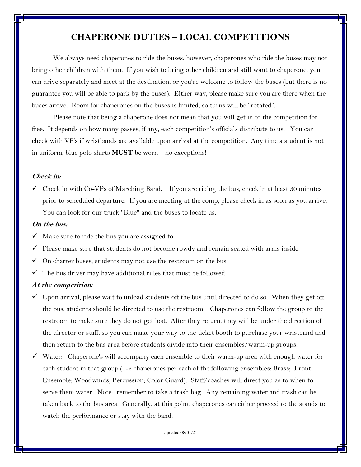## **CHAPERONE DUTIES – LOCAL COMPETITIONS**

We always need chaperones to ride the buses; however, chaperones who ride the buses may not bring other children with them. If you wish to bring other children and still want to chaperone, you can drive separately and meet at the destination, or you're welcome to follow the buses (but there is no guarantee you will be able to park by the buses). Either way, please make sure you are there when the buses arrive. Room for chaperones on the buses is limited, so turns will be "rotated".

Please note that being a chaperone does not mean that you will get in to the competition for free. It depends on how many passes, if any, each competition's officials distribute to us. You can check with VP's if wristbands are available upon arrival at the competition. Any time a student is not in uniform, blue polo shirts **MUST** be worn—no exceptions!

#### **Check in:**

 $\checkmark$  Check in with Co-VPs of Marching Band. If you are riding the bus, check in at least 30 minutes prior to scheduled departure. If you are meeting at the comp, please check in as soon as you arrive. You can look for our truck "Blue" and the buses to locate us.

#### **On the bus:**

- $\checkmark$  Make sure to ride the bus you are assigned to.
- $\checkmark$  Please make sure that students do not become rowdy and remain seated with arms inside.
- $\checkmark$  On charter buses, students may not use the restroom on the bus.
- $\checkmark$  The bus driver may have additional rules that must be followed.

### **At the competition:**

- $\checkmark$  Upon arrival, please wait to unload students off the bus until directed to do so. When they get off the bus, students should be directed to use the restroom. Chaperones can follow the group to the restroom to make sure they do not get lost. After they return, they will be under the direction of the director or staff, so you can make your way to the ticket booth to purchase your wristband and then return to the bus area before students divide into their ensembles/warm-up groups.
- Water: Chaperone's will accompany each ensemble to their warm-up area with enough water for each student in that group (1-2 chaperones per each of the following ensembles: Brass; Front Ensemble; Woodwinds; Percussion; Color Guard). Staff/coaches will direct you as to when to serve them water. Note: remember to take a trash bag. Any remaining water and trash can be taken back to the bus area. Generally, at this point, chaperones can either proceed to the stands to watch the performance or stay with the band.

Updated 08/01/21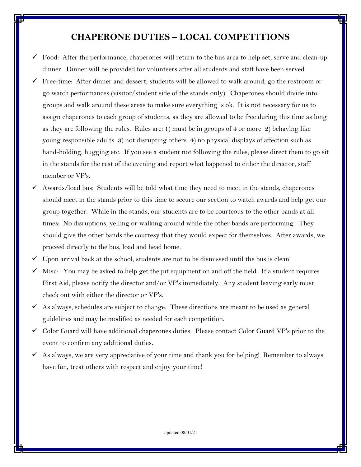## **CHAPERONE DUTIES – LOCAL COMPETITIONS**

- $\checkmark$  Food: After the performance, chaperones will return to the bus area to help set, serve and clean-up dinner. Dinner will be provided for volunteers after all students and staff have been served.
- Free-time: After dinner and dessert, students will be allowed to walk around, go the restroom or go watch performances (visitor/student side of the stands only). Chaperones should divide into groups and walk around these areas to make sure everything is ok. It is not necessary for us to assign chaperones to each group of students, as they are allowed to be free during this time as long as they are following the rules. Rules are: 1) must be in groups of 4 or more 2) behaving like young responsible adults 3) not disrupting others 4) no physical displays of affection such as hand-holding, hugging etc. If you see a student not following the rules, please direct them to go sit in the stands for the rest of the evening and report what happened to either the director, staff member or VP's.
- Awards/load bus: Students will be told what time they need to meet in the stands, chaperones should meet in the stands prior to this time to secure our section to watch awards and help get our group together. While in the stands, our students are to be courteous to the other bands at all times: No disruptions, yelling or walking around while the other bands are performing. They should give the other bands the courtesy that they would expect for themselves. After awards, we proceed directly to the bus, load and head home.
- $\checkmark$  Upon arrival back at the school, students are not to be dismissed until the bus is clean!
- Misc: You may be asked to help get the pit equipment on and off the field. If a student requires First Aid, please notify the director and/or VP's immediately. Any student leaving early must check out with either the director or VP's.
- As always, schedules are subject to change. These directions are meant to be used as general guidelines and may be modified as needed for each competition.
- $\checkmark$  Color Guard will have additional chaperones duties. Please contact Color Guard VP's prior to the event to confirm any additional duties.
- $\checkmark$  As always, we are very appreciative of your time and thank you for helping! Remember to always have fun, treat others with respect and enjoy your time!